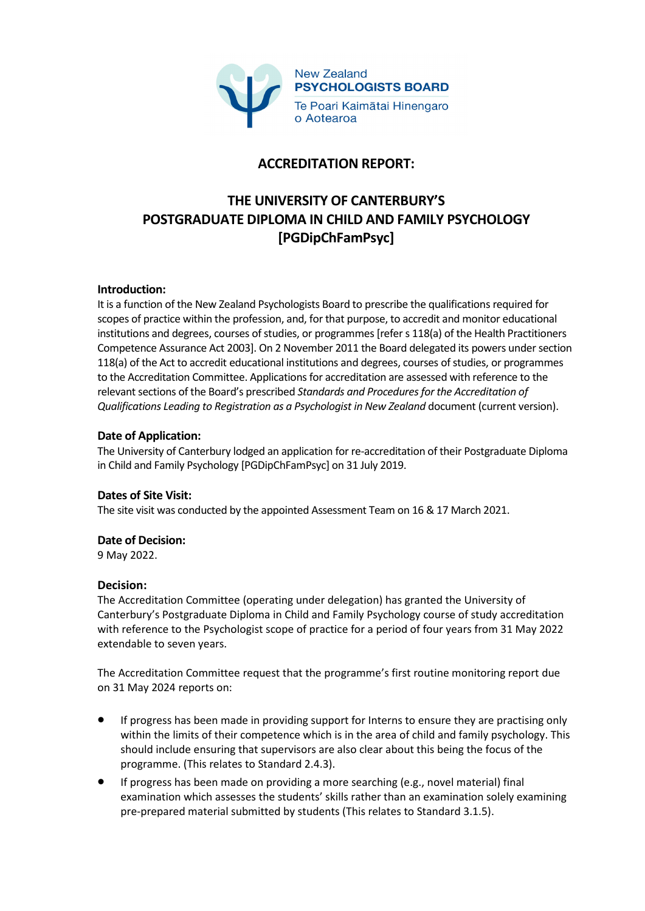

## **ACCREDITATION REPORT:**

# **THE UNIVERSITY OF CANTERBURY'S POSTGRADUATE DIPLOMA IN CHILD AND FAMILY PSYCHOLOGY [PGDipChFamPsyc]**

## **Introduction:**

It is a function of the New Zealand Psychologists Board to prescribe the qualifications required for scopes of practice within the profession, and, for that purpose, to accredit and monitor educational institutions and degrees, courses of studies, or programmes [refer s 118(a) of the Health Practitioners Competence Assurance Act 2003]. On 2 November 2011 the Board delegated its powers under section 118(a) of the Act to accredit educational institutions and degrees, courses of studies, or programmes to the Accreditation Committee. Applications for accreditation are assessed with reference to the relevant sections of the Board's prescribed *Standards and Procedures for the Accreditation of Qualifications Leading to Registration as a Psychologist in New Zealand* document (current version).

## **Date of Application:**

The University of Canterbury lodged an application for re-accreditation of their Postgraduate Diploma in Child and Family Psychology [PGDipChFamPsyc] on 31 July 2019.

#### **Dates of Site Visit:**

The site visit was conducted by the appointed Assessment Team on 16 & 17 March 2021.

## **Date of Decision:**

9 May 2022.

## **Decision:**

The Accreditation Committee (operating under delegation) has granted the University of Canterbury's Postgraduate Diploma in Child and Family Psychology course of study accreditation with reference to the Psychologist scope of practice for a period of four years from 31 May 2022 extendable to seven years.

The Accreditation Committee request that the programme's first routine monitoring report due on 31 May 2024 reports on:

- If progress has been made in providing support for Interns to ensure they are practising only within the limits of their competence which is in the area of child and family psychology. This should include ensuring that supervisors are also clear about this being the focus of the programme. (This relates to Standard 2.4.3).
- If progress has been made on providing a more searching (e.g., novel material) final examination which assesses the students' skills rather than an examination solely examining pre-prepared material submitted by students (This relates to Standard 3.1.5).